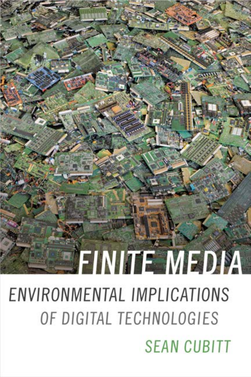FINITE MEDIA

**ENVIRONMENTAL IMPLICATIONS** OF DIGITAL TECHNOLOGIES **SEAN CUBITT**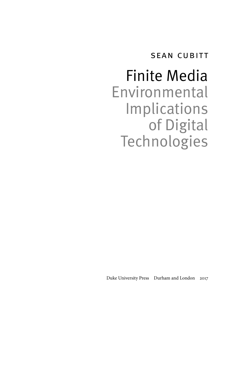SEAN CUBITT

## Finite Media Environmental Implications of Digital Technologies

Duke University Press Durham and London 2017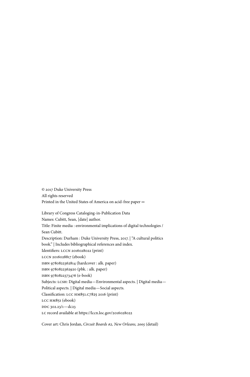© 2017 Duke University Press All rights reserved Printed in the United States of America on acid- free paper ∞

Library of Congress Cataloging- in-Publication Data Names: Cubitt, Sean, [date] author. Title: Finite media : environmental implications of digital technologies / Sean Cubitt. Description: Durham : Duke University Press, 2017. | "A cultural politics book." | Includes bibliographical references and index. Identifiers: LCCN 2016028022 (print) LCCN 2016028817 (ebook) isbn 9780822362814 (hardcover : alk. paper) isbn 9780822362920 (pbk. : alk. paper) isbn 9780822373476 (e- book) Subjects: LCSH: Digital media—Environmental aspects. | Digital media— Political aspects. | Digital media—Social aspects. Classification: lcc hm851.c7825 2016 (print) LCC HM851 (ebook) DDC 302.23/1-dc23 LC record available at https://lccn.loc.gov/2016028022

Cover art: Chris Jordan, *Circuit Boards #2, New Orleans, 2005* (detail)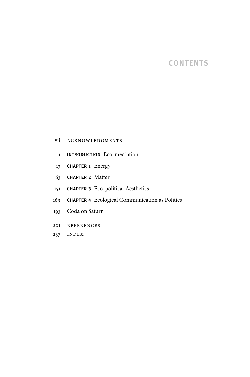### **CONTENTS**

#### vii Acknowledgments

- 1 **INTRODUCTION** Eco- mediation
- 13 **CHAPTER 1** Energy
- 63 **CHAPTER 2** Matter
- 151 **CHAPTER 3** Eco- political Aesthetics
- 169 **CHAPTER 4** Ecological Communication as Politics
- 193 Coda on Saturn
- 201 References
- 237 Index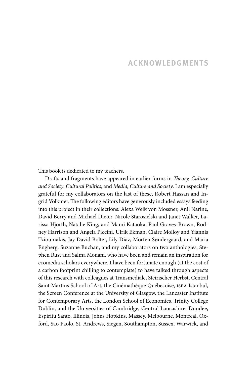#### **ACKNOWLEDGMENTS**

This book is dedicated to my teachers.

Drafts and fragments have appeared in earlier forms in *Theory, Culture and Society*, *Cultural Politics*, and *Media, Culture and Society*. I am especially grateful for my collaborators on the last of these, Robert Hassan and Ingrid Volkmer. The following editors have generously included essays feeding into this project in their collections: Alexa Weik von Mossner, Anil Narine, David Berry and Michael Dieter, Nicole Starosielski and Janet Walker, Larissa Hjorth, Natalie King, and Mami Kataoka, Paul Graves- Brown, Rodney Harrison and Angela Piccini, Ulrik Ekman, Claire Molloy and Yiannis Tzioumakis, Jay David Bolter, Lily Diaz, Morten Søndergaard, and Maria Engberg, Suzanne Buchan, and my collaborators on two anthologies, Stephen Rust and Salma Monani, who have been and remain an inspiration for ecomedia scholars everywhere. I have been fortunate enough (at the cost of a carbon footprint chilling to contemplate) to have talked through aspects of this research with colleagues at Transmediale, Steirischer Herbst, Central Saint Martins School of Art, the Cinémathèque Québecoise, isea Istanbul, the Screen Conference at the University of Glasgow, the Lancaster Institute for Contemporary Arts, the London School of Economics, Trinity College Dublin, and the Universities of Cambridge, Central Lancashire, Dundee, Espiritu Santo, Illinois, Johns Hopkins, Massey, Melbourne, Montreal, Oxford, Sao Paolo, St. Andrews, Siegen, Southampton, Sussex, Warwick, and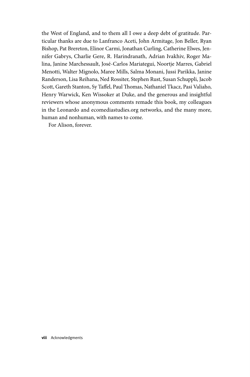the West of England, and to them all I owe a deep debt of gratitude. Particular thanks are due to Lanfranco Aceti, John Armitage, Jon Beller, Ryan Bishop, Pat Brereton, Elinor Carmi, Jonathan Curling, Catherine Elwes, Jennifer Gabrys, Charlie Gere, R. Harindranath, Adrian Ivakhiv, Roger Malina, Janine Marchessault, José- Carlos Mariategui, Noortje Marres, Gabriel Menotti, Walter Mignolo, Maree Mills, Salma Monani, Jussi Parikka, Janine Randerson, Lisa Reihana, Ned Rossiter, Stephen Rust, Susan Schuppli, Jacob Scott, Gareth Stanton, Sy Taffel, Paul Thomas, Nathaniel Tkacz, Pasi Valiaho, Henry Warwick, Ken Wissoker at Duke, and the generous and insightful reviewers whose anonymous comments remade this book, my colleagues in the Leonardo and ecomediastudies .org networks, and the many more, human and nonhuman, with names to come.

For Alison, forever.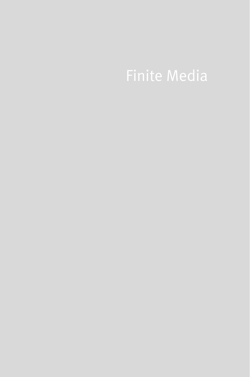# Finite Media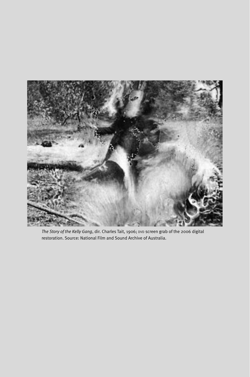

The Story of the Kelly Gang, dir. Charles Tait, 1906; DVD screen grab of the 2006 digital restoration. Source: National Film and Sound Archive of Australia.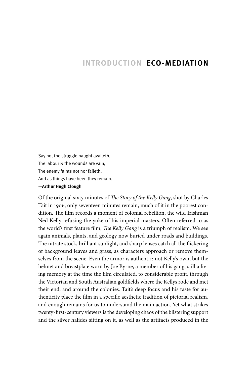#### **INTRODUCTION ECO- MEDIATION**

Say not the struggle naught availeth, The labour & the wounds are vain, The enemy faints not nor faileth, And as things have been they remain. —**Arthur Hugh Clough**

#### Of the original sixty minutes of *The Story of the Kelly Gang*, shot by Charles Tait in 1906, only seventeen minutes remain, much of it in the poorest condition. The film records a moment of colonial rebellion, the wild Irishman Ned Kelly refusing the yoke of his imperial masters. Often referred to as the world's first feature film, *The Kelly Gang* is a triumph of realism. We see again animals, plants, and geology now buried under roads and buildings. The nitrate stock, brilliant sunlight, and sharp lenses catch all the flickering of background leaves and grass, as characters approach or remove themselves from the scene. Even the armor is authentic: not Kelly's own, but the helmet and breastplate worn by Joe Byrne, a member of his gang, still a living memory at the time the film circulated, to considerable profit, through the Victorian and South Australian goldfields where the Kellys rode and met their end, and around the colonies. Tait's deep focus and his taste for authenticity place the film in a specific aesthetic tradition of pictorial realism, and enough remains for us to understand the main action. Yet what strikes twenty- first- century viewers is the developing chaos of the blistering support and the silver halides sitting on it, as well as the artifacts produced in the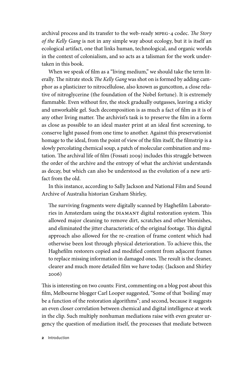archival process and its transfer to the web- ready mpeg- 4 codec. *The Story of the Kelly Gang* is not in any simple way about ecology, but it is itself an ecological artifact, one that links human, technological, and organic worlds in the context of colonialism, and so acts as a talisman for the work undertaken in this book.

When we speak of film as a "living medium," we should take the term literally. The nitrate stock *The Kelly Gang* was shot on is formed by adding camphor as a plasticizer to nitrocellulose, also known as guncotton, a close relative of nitroglycerine (the foundation of the Nobel fortune). It is extremely flammable. Even without fire, the stock gradually outgasses, leaving a sticky and unworkable gel. Such decomposition is as much a fact of film as it is of any other living matter. The archivist's task is to preserve the film in a form as close as possible to an ideal master print at an ideal first screening, to conserve light passed from one time to another. Against this preservationist homage to the ideal, from the point of view of the film itself, the filmstrip is a slowly percolating chemical soup, a patch of molecular combination and mutation. The archival life of film (Fossati 2009) includes this struggle between the order of the archive and the entropy of what the archivist understands as decay, but which can also be understood as the evolution of a new artifact from the old.

In this instance, according to Sally Jackson and National Film and Sound Archive of Australia historian Graham Shirley,

The surviving fragments were digitally scanned by Haghefilm Laboratories in Amsterdam using the DIAMANT digital restoration system. This allowed major cleaning to remove dirt, scratches and other blemishes, and eliminated the jitter characteristic of the original footage. This digital approach also allowed for the re- creation of frame content which had otherwise been lost through physical deterioration. To achieve this, the Haghefilm restorers copied and modified content from adjacent frames to replace missing information in damaged ones. The result is the cleaner, clearer and much more detailed film we have today. (Jackson and Shirley 2006)

This is interesting on two counts: First, commenting on a blog post about this film, Melbourne blogger Carl Looper suggested, "Some of that 'boiling' may be a function of the restoration algorithms"; and second, because it suggests an even closer correlation between chemical and digital intelligence at work in the clip. Such multiply nonhuman mediations raise with even greater urgency the question of mediation itself, the processes that mediate between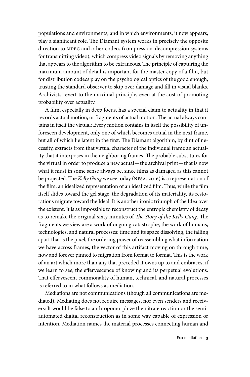populations and environments, and in which environments, it now appears, play a significant role. The Diamant system works in precisely the opposite direction to mpeg and other codecs (compression- decompression systems for transmitting video), which compress video signals by removing anything that appears to the algorithm to be extraneous. The principle of capturing the maximum amount of detail is important for the master copy of a film, but for distribution codecs play on the psychological optics of the good enough, trusting the standard observer to skip over damage and fill in visual blanks. Archivists revert to the maximal principle, even at the cost of promoting probability over actuality.

A film, especially in deep focus, has a special claim to actuality in that it records actual motion, or fragments of actual motion. The actual always contains in itself the virtual: Every motion contains in itself the possibility of unforeseen development, only one of which becomes actual in the next frame, but all of which lie latent in the first. The Diamant algorithm, by dint of necessity, extracts from that virtual character of the individual frame an actuality that it interposes in the neighboring frames. The probable substitutes for the virtual in order to produce a new actual—the archival print—that is now what it must in some sense always be, since films as damaged as this cannot be projected. The *Kelly Gang* we see today (NFSA. 2016) is a representation of the film, an idealized representation of an idealized film. Thus, while the film itself slides toward the gel stage, the degradation of its materiality, its restorations migrate toward the Ideal. It is another ironic triumph of the Idea over the existent. It is as impossible to reconstruct the entropic chemistry of decay as to remake the original sixty minutes of *The Story of the Kelly Gang*. The fragments we view are a work of ongoing catastrophe, the work of humans, technologies, and natural processes: time and its space dissolving, the falling apart that is the pixel, the ordering power of reassembling what information we have across frames, the vector of this artifact moving on through time, now and forever pinned to migration from format to format. This is the work of an art which more than any that preceded it owns up to and embraces, if we learn to see, the effervescence of knowing and its perpetual evolutions. That effervescent commonality of human, technical, and natural processes is referred to in what follows as mediation.

Mediations are not communications (though all communications are mediated). Mediating does not require messages, nor even senders and receivers: It would be false to anthropomorphize the nitrate reaction or the semiautomated digital reconstruction as in some way capable of expression or intention. Mediation names the material processes connecting human and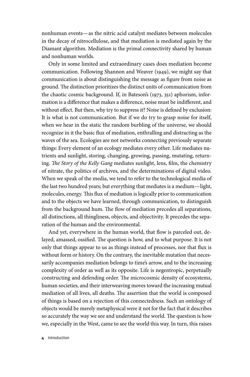nonhuman events—as the nitric acid catalyst mediates between molecules in the decay of nitrocellulose, and that mediation is mediated again by the Diamant algorithm. Mediation is the primal connectivity shared by human and nonhuman worlds.

Only in some limited and extraordinary cases does mediation become communication. Following Shannon and Weaver (1949), we might say that communication is about distinguishing the message as figure from noise as ground. The distinction prioritizes the distinct units of communication from the chaotic cosmic background. If, in Bateson's (1973, 351) aphorism, information is a difference that makes a difference, noise must be indifferent, and without effect. But then, why try to suppress it? Noise is defined by exclusion: It is what is not communication. But if we do try to grasp noise for itself, when we hear in the static the random burbling of the universe, we should recognize in it the basic flux of mediation, enthralling and distracting as the waves of the sea. Ecologies are not networks connecting previously separate things: Every element of an ecology mediates every other. Life mediates nutrients and sunlight, storing, changing, growing, passing, mutating, returning. *The Story of the Kelly Gang* mediates sunlight, lens, film, the chemistry of nitrate, the politics of archives, and the determinations of digital video. When we speak of the media, we tend to refer to the technological media of the last two hundred years; but everything that mediates is a medium—light, molecules, energy. This flux of mediation is logically prior to communication and to the objects we have learned, through communication, to distinguish from the background hum. The flow of mediation precedes all separations, all distinctions, all thingliness, objects, and objectivity. It precedes the separation of the human and the environmental.

And yet, everywhere in the human world, that flow is parceled out, delayed, amassed, ossified. The question is how, and to what purpose. It is not only that things appear to us as things instead of processes, nor that flux is without form or history. On the contrary, the inevitable mutation that necessarily accompanies mediation belongs to time's arrow, and to the increasing complexity of order as well as its opposite. Life is negentropic, perpetually constructing and defending order. The microcosmic density of ecosystems, human societies, and their interweaving moves toward the increasing mutual mediation of all lives, all deaths. The assertion that the world is composed of things is based on a rejection of this connectedness. Such an ontology of objects would be merely metaphysical were it not for the fact that it describes so accurately the way we see and understand the world. The question is how we, especially in the West, came to see the world this way. In turn, this raises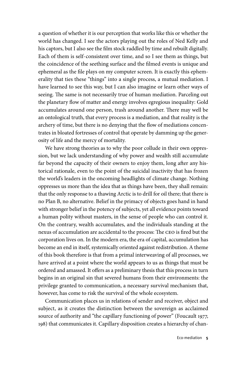a question of whether it is our perception that works like this or whether the world has changed. I see the actors playing out the roles of Ned Kelly and his captors, but I also see the film stock raddled by time and rebuilt digitally. Each of them is self- consistent over time, and so I see them as things, but the coincidence of the seething surface and the filmed events is unique and ephemeral as the file plays on my computer screen. It is exactly this ephemerality that ties these "things" into a single process, a mutual mediation. I have learned to see this way, but I can also imagine or learn other ways of seeing. The same is not necessarily true of human mediation. Parceling out the planetary flow of matter and energy involves egregious inequality: Gold accumulates around one person, trash around another. There may well be an ontological truth, that every process is a mediation, and that reality is the archery of time, but there is no denying that the flow of mediations concentrates in bloated fortresses of control that operate by damming up the generosity of life and the mercy of mortality.

We have strong theories as to why the poor collude in their own oppression, but we lack understanding of why power and wealth still accumulate far beyond the capacity of their owners to enjoy them, long after any historical rationale, even to the point of the suicidal inactivity that has frozen the world's leaders in the oncoming headlights of climate change. Nothing oppresses us more than the idea that as things have been, they shall remain: that the only response to a thawing Arctic is to drill for oil there; that there is no Plan B, no alternative. Belief in the primacy of objects goes hand in hand with stronger belief in the potency of subjects, yet all evidence points toward a human polity without masters, in the sense of people who can control it. On the contrary, wealth accumulates, and the individuals standing at the nexus of accumulation are accidental to the process: The ceo is fired but the corporation lives on. In the modern era, the era of capital, accumulation has become an end in itself, systemically oriented against redistribution. A theme of this book therefore is that from a primal interweaving of all processes, we have arrived at a point where the world appears to us as things that must be ordered and amassed. It offers as a preliminary thesis that this process in turn begins in an original sin that severed humans from their environments: the privilege granted to communication, a necessary survival mechanism that, however, has come to risk the survival of the whole ecosystem.

Communication places us in relations of sender and receiver, object and subject, as it creates the distinction between the sovereign as acclaimed source of authority and "the capillary functioning of power" (Foucault 1977, 198) that communicates it. Capillary disposition creates a hierarchy of chan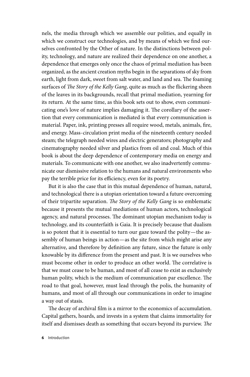nels, the media through which we assemble our polities, and equally in which we construct our technologies, and by means of which we find ourselves confronted by the Other of nature. In the distinctions between polity, technology, and nature are realized their dependence on one another, a dependence that emerges only once the chaos of primal mediation has been organized, as the ancient creation myths begin in the separations of sky from earth, light from dark, sweet from salt water, and land and sea. The foaming surfaces of *The Story of the Kelly Gang*, quite as much as the flickering sheen of the leaves in its backgrounds, recall that primal mediation, yearning for its return. At the same time, as this book sets out to show, even communicating one's love of nature implies damaging it. The corollary of the assertion that every communication is mediated is that every communication is material. Paper, ink, printing presses all require wood, metals, animals, fire, and energy. Mass- circulation print media of the nineteenth century needed steam; the telegraph needed wires and electric generators; photography and cinematography needed silver and plastics from oil and coal. Much of this book is about the deep dependence of contemporary media on energy and materials. To communicate with one another, we also inadvertently communicate our dismissive relation to the humans and natural environments who pay the terrible price for its efficiency, even for its poetry.

But it is also the case that in this mutual dependence of human, natural, and technological there is a utopian orientation toward a future overcoming of their tripartite separation. *The Story of the Kelly Gang* is so emblematic because it presents the mutual mediations of human actors, technological agency, and natural processes. The dominant utopian mechanism today is technology, and its counterfaith is Gaia. It is precisely because that dualism is so potent that it is essential to turn our gaze toward the polity—the assembly of human beings in action—as the site from which might arise any alternative, and therefore by definition any future, since the future is only knowable by its difference from the present and past. It is we ourselves who must become other in order to produce an other world. The correlative is that we must cease to be human, and most of all cease to exist as exclusively human polity, which is the medium of communication par excellence. The road to that goal, however, must lead through the polis, the humanity of humans, and most of all through our communications in order to imagine a way out of stasis.

The decay of archival film is a mirror to the economics of accumulation. Capital gathers, hoards, and invests in a system that claims immortality for itself and dismisses death as something that occurs beyond its purview. *The*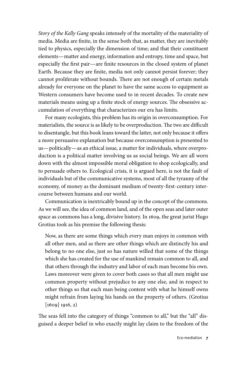*Story of the Kelly Gang* speaks intensely of the mortality of the materiality of media. Media are finite, in the sense both that, as matter, they are inevitably tied to physics, especially the dimension of time; and that their constituent elements—matter and energy, information and entropy, time and space, but especially the first pair—are finite resources in the closed system of planet Earth. Because they are finite, media not only cannot persist forever; they cannot proliferate without bounds. There are not enough of certain metals already for everyone on the planet to have the same access to equipment as Western consumers have become used to in recent decades. To create new materials means using up a finite stock of energy sources. The obsessive accumulation of everything that characterizes our era has limits.

For many ecologists, this problem has its origin in overconsumption. For materialists, the source is as likely to be overproduction. The two are difficult to disentangle, but this book leans toward the latter, not only because it offers a more persuasive explanation but because overconsumption is presented to us—politically—as an ethical issue, a matter for individuals, where overproduction is a political matter involving us as social beings. We are all worn down with the almost impossible moral obligation to shop ecologically, and to persuade others to. Ecological crisis, it is argued here, is not the fault of individuals but of the communicative systems, most of all the tyranny of the economy, of money as the dominant medium of twenty- first- century intercourse between humans and our world.

Communication is inextricably bound up in the concept of the commons. As we will see, the idea of common land, and of the open seas and later outer space as commons has a long, divisive history. In 1609, the great jurist Hugo Grotius took as his premise the following thesis:

Now, as there are some things which every man enjoys in common with all other men, and as there are other things which are distinctly his and belong to no one else, just so has nature willed that some of the things which she has created for the use of mankind remain common to all, and that others through the industry and labor of each man become his own. Laws moreover were given to cover both cases so that all men might use common property without prejudice to any one else, and in respect to other things so that each man being content with what he himself owns might refrain from laying his hands on the property of others. (Grotius  $[1609] 1916, 2)$ 

The seas fell into the category of things "common to all," but the "all" disguised a deeper belief in who exactly might lay claim to the freedom of the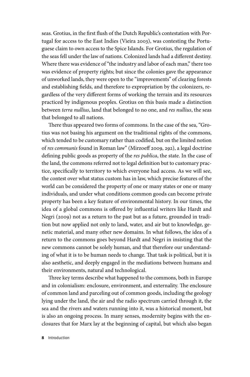seas. Grotius, in the first flush of the Dutch Republic's contestation with Portugal for access to the East Indies (Vieira 2003), was contesting the Portuguese claim to own access to the Spice Islands. For Grotius, the regulation of the seas fell under the law of nations. Colonized lands had a different destiny. Where there was evidence of "the industry and labor of each man," there too was evidence of property rights; but since the colonies gave the appearance of unworked lands, they were open to the "improvements" of clearing forests and establishing fields, and therefore to expropriation by the colonizers, regardless of the very different forms of working the terrain and its resources practiced by indigenous peoples. Grotius on this basis made a distinction between *terra nullius*, land that belonged to no one, and *res nullius*, the seas that belonged to all nations.

There thus appeared two forms of commons. In the case of the sea, "Grotius was not basing his argument on the traditional rights of the commons, which tended to be customary rather than codified, but on the limited notion of *res communis* found in Roman law" (Mirzoeff 2009, 292), a legal doctrine defining public goods as property of the *res publica*, the state. In the case of the land, the commons referred not to legal definition but to customary practice, specifically to territory to which everyone had access. As we will see, the contest over what status custom has in law, which precise features of the world can be considered the property of one or many states or one or many individuals, and under what conditions common goods can become private property has been a key feature of environmental history. In our times, the idea of a global commons is offered by influential writers like Hardt and Negri (2009) not as a return to the past but as a future, grounded in tradition but now applied not only to land, water, and air but to knowledge, genetic material, and many other new domains. In what follows, the idea of a return to the commons goes beyond Hardt and Negri in insisting that the new commons cannot be solely human, and that therefore our understanding of what it is to be human needs to change. That task is political, but it is also aesthetic, and deeply engaged in the mediations between humans and their environments, natural and technological.

Three key terms describe what happened to the commons, both in Europe and in colonialism: enclosure, environment, and externality. The enclosure of common land and parceling out of common goods, including the geology lying under the land, the air and the radio spectrum carried through it, the sea and the rivers and waters running into it, was a historical moment, but is also an ongoing process. In many senses, modernity begins with the enclosures that for Marx lay at the beginning of capital, but which also began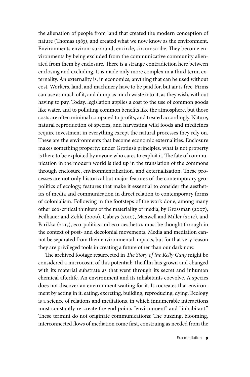the alienation of people from land that created the modern conception of nature (Thomas 1983), and created what we now know as the environment. Environments environ: surround, encircle, circumscribe. They become environments by being excluded from the communicative community alienated from them by enclosure. There is a strange contradiction here between enclosing and excluding. It is made only more complex in a third term, externality. An externality is, in economics, anything that can be used without cost. Workers, land, and machinery have to be paid for, but air is free. Firms can use as much of it, and dump as much waste into it, as they wish, without having to pay. Today, legislation applies a cost to the use of common goods like water, and to polluting common benefits like the atmosphere, but those costs are often minimal compared to profits, and treated accordingly. Nature, natural reproduction of species, and harvesting wild foods and medicines require investment in everything except the natural processes they rely on. These are the environments that become economic externalities. Enclosure makes something property: under Grotius's principles, what is not property is there to be exploited by anyone who cares to exploit it. The fate of communication in the modern world is tied up in the translation of the commons through enclosure, environmentalization, and externalization. These processes are not only historical but major features of the contemporary geopolitics of ecology, features that make it essential to consider the aesthetics of media and communication in direct relation to contemporary forms of colonialism. Following in the footsteps of the work done, among many other eco- critical thinkers of the materiality of media, by Grossman (2007), Feilhauer and Zehle (2009), Gabrys (2010), Maxwell and Miller (2012), and Parikka (2015), eco-politics and eco-aesthetics must be thought through in the context of post- and decolonial movements. Media and mediation cannot be separated from their environmental impacts, but for that very reason they are privileged tools in creating a future other than our dark now.

The archived footage resurrected in *The Story of the Kelly Gang* might be considered a microcosm of this potential: The film has grown and changed with its material substrate as that went through its secret and inhuman chemical afterlife. An environment and its inhabitants coevolve. A species does not discover an environment waiting for it. It cocreates that environment by acting in it, eating, excreting, building, reproducing, dying. Ecology is a science of relations and mediations, in which innumerable interactions must constantly re- create the end points "environment" and "inhabitant." These termini do not originate communications: The buzzing, blooming, interconnected flows of mediation come first, construing as needed from the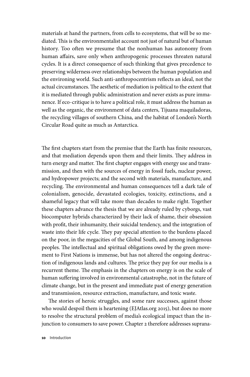materials at hand the partners, from cells to ecosystems, that will be so mediated. This is the environmentalist account not just of natural but of human history. Too often we presume that the nonhuman has autonomy from human affairs, save only when anthropogenic processes threaten natural cycles. It is a direct consequence of such thinking that gives precedence to preserving wilderness over relationships between the human population and the environing world. Such anti- anthropocentrism reflects an ideal, not the actual circumstances. The aesthetic of mediation is political to the extent that it is mediated through public administration and never exists as pure immanence. If eco- critique is to have a political role, it must address the human as well as the organic, the environment of data centers, Tijuana maquiladoras, the recycling villages of southern China, and the habitat of London's North Circular Road quite as much as Antarctica.

The first chapters start from the premise that the Earth has finite resources, and that mediation depends upon them and their limits. They address in turn energy and matter. The first chapter engages with energy use and transmission, and then with the sources of energy in fossil fuels, nuclear power, and hydropower projects; and the second with materials, manufacture, and recycling. The environmental and human consequences tell a dark tale of colonialism, genocide, devastated ecologies, toxicity, extinctions, and a shameful legacy that will take more than decades to make right. Together these chapters advance the thesis that we are already ruled by cyborgs, vast biocomputer hybrids characterized by their lack of shame, their obsession with profit, their inhumanity, their suicidal tendency, and the integration of waste into their life cycle. They pay special attention to the burdens placed on the poor, in the megacities of the Global South, and among indigenous peoples. The intellectual and spiritual obligations owed by the green movement to First Nations is immense, but has not altered the ongoing destruction of indigenous lands and cultures. The price they pay for our media is a recurrent theme. The emphasis in the chapters on energy is on the scale of human suffering involved in environmental catastrophe, not in the future of climate change, but in the present and immediate past of energy generation and transmission, resource extraction, manufacture, and toxic waste.

The stories of heroic struggles, and some rare successes, against those who would despoil them is heartening (EJAtlas.org 2015), but does no more to resolve the structural problem of media's ecological impact than the injunction to consumers to save power. Chapter 2 therefore addresses suprana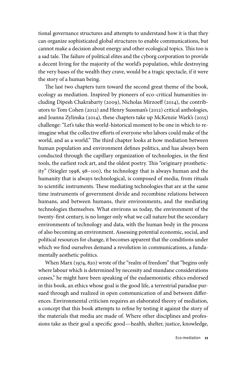tional governance structures and attempts to understand how it is that they can organize sophisticated global structures to enable communications, but cannot make a decision about energy and other ecological topics. This too is a sad tale. The failure of political elites and the cyborg corporation to provide a decent living for the majority of the world's population, while destroying the very bases of the wealth they crave, would be a tragic spectacle, if it were the story of a human being.

The last two chapters turn toward the second great theme of the book, ecology as mediation. Inspired by pioneers of eco- critical humanities including Dipesh Chakrabarty (2009), Nicholas Mirzoeff (2014), the contributors to Tom Cohen (2012) and Henry Sussman's (2012) critical anthologies, and Joanna Zylinska (2014), these chapters take up McKenzie Wark's (2015) challenge: "Let's take this world- historical moment to be one in which to reimagine what the collective efforts of everyone who labors could make of the world, and as a world." The third chapter looks at how mediation between human population and environment defines politics, and has always been conducted through the capillary organization of technologies, in the first tools, the earliest rock art, and the oldest poetry. This "originary prostheticity" (Stiegler 1998, 98– 100), the technology that is always human and the humanity that is always technological, is composed of media, from rituals to scientific instruments. These mediating technologies that are at the same time instruments of government divide and recombine relations between humans, and between humans, their environments, and the mediating technologies themselves. What environs us today, the environment of the twenty- first century, is no longer only what we call nature but the secondary environments of technology and data, with the human body in the process of also becoming an environment. Assessing potential economic, social, and political resources for change, it becomes apparent that the conditions under which we find ourselves demand a revolution in communications, a fundamentally aesthetic politics.

When Marx (1974, 820) wrote of the "realm of freedom" that "begins only where labour which is determined by necessity and mundane considerations ceases," he might have been speaking of the eudaemonistic ethics endorsed in this book, an ethics whose goal is the good life, a terrestrial paradise pursued through and realized in open communication of and between differences. Environmental criticism requires an elaborated theory of mediation, a concept that this book attempts to refine by testing it against the story of the materials that media are made of. Where other disciplines and professions take as their goal a specific good—health, shelter, justice, knowledge,